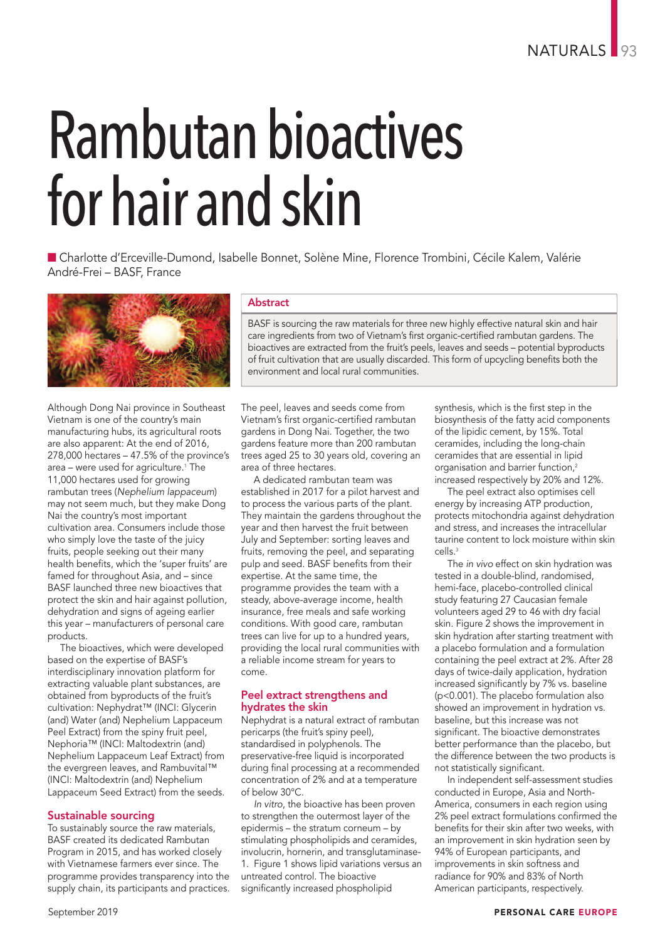# Rambutan bioactives for hair and skin

n Charlotte d'Erceville-Dumond, Isabelle Bonnet, Solène Mine, Florence Trombini, Cécile Kalem, Valérie André-Frei – BASF, France



Although Dong Nai province in Southeast Vietnam is one of the country's main manufacturing hubs, its agricultural roots are also apparent: At the end of 2016, 278,000 hectares – 47.5% of the province's area – were used for agriculture. <sup>1</sup> The 11,000 hectares used for growing rambutan trees (*Nephelium lappaceum*) may not seem much, but they make Dong Nai the country's most important cultivation area. Consumers include those who simply love the taste of the juicy fruits, people seeking out their many health benefits, which the 'super fruits' are famed for throughout Asia, and – since BASF launched three new bioactives that protect the skin and hair against pollution, dehydration and signs of ageing earlier this year – manufacturers of personal care products.

The bioactives, which were developed based on the expertise of BASF's interdisciplinary innovation platform for extracting valuable plant substances, are obtained from byproducts of the fruit's cultivation: Nephydrat™ (INCI: Glycerin (and) Water (and) Nephelium Lappaceum Peel Extract) from the spiny fruit peel, Nephoria™ (INCI: Maltodextrin (and) Nephelium Lappaceum Leaf Extract) from the evergreen leaves, and Rambuvital™ (INCI: Maltodextrin (and) Nephelium Lappaceum Seed Extract) from the seeds.

# Sustainable sourcing

To sustainably source the raw materials, BASF created its dedicated Rambutan Program in 2015, and has worked closely with Vietnamese farmers ever since. The programme provides transparency into the supply chain, its participants and practices.

# Abstract

BASF is sourcing the raw materials for three new highly effective natural skin and hair care ingredients from two of Vietnam's first organic-certified rambutan gardens. The bioactives are extracted from the fruit's peels, leaves and seeds – potential byproducts of fruit cultivation that are usually discarded. This form of upcycling benefits both the environment and local rural communities.

The peel, leaves and seeds come from Vietnam's first organic-certified rambutan gardens in Dong Nai. Together, the two gardens feature more than 200 rambutan trees aged 25 to 30 years old, covering an area of three hectares.

A dedicated rambutan team was established in 2017 for a pilot harvest and to process the various parts of the plant. They maintain the gardens throughout the year and then harvest the fruit between July and September: sorting leaves and fruits, removing the peel, and separating pulp and seed. BASF benefits from their expertise. At the same time, the programme provides the team with a steady, above-average income, health insurance, free meals and safe working conditions. With good care, rambutan trees can live for up to a hundred years, providing the local rural communities with a reliable income stream for years to come.

## Peel extract strengthens and hydrates the skin

Nephydrat is a natural extract of rambutan pericarps (the fruit's spiny peel), standardised in polyphenols. The preservative-free liquid is incorporated during final processing at a recommended concentration of 2% and at a temperature of below 30°C.

*In vitro*, the bioactive has been proven to strengthen the outermost layer of the epidermis – the stratum corneum – by stimulating phospholipids and ceramides, involucrin, hornerin, and transglutaminase-1. Figure 1 shows lipid variations versus an untreated control. The bioactive significantly increased phospholipid

synthesis, which is the first step in the biosynthesis of the fatty acid components of the lipidic cement, by 15%. Total ceramides, including the long-chain ceramides that are essential in lipid organisation and barrier function, 2 increased respectively by 20% and 12%.

The peel extract also optimises cell energy by increasing ATP production, protects mitochondria against dehydration and stress, and increases the intracellular taurine content to lock moisture within skin cells. 3

The *in vivo* effect on skin hydration was tested in a double-blind, randomised, hemi-face, placebo-controlled clinical study featuring 27 Caucasian female volunteers aged 29 to 46 with dry facial skin. Figure 2 shows the improvement in skin hydration after starting treatment with a placebo formulation and a formulation containing the peel extract at 2%. After 28 days of twice-daily application, hydration increased significantly by 7% vs. baseline (p<0.001). The placebo formulation also showed an improvement in hydration vs. baseline, but this increase was not significant. The bioactive demonstrates better performance than the placebo, but the difference between the two products is not statistically significant.

In independent self-assessment studies conducted in Europe, Asia and North-America, consumers in each region using 2% peel extract formulations confirmed the benefits for their skin after two weeks, with an improvement in skin hydration seen by 94% of European participants, and improvements in skin softness and radiance for 90% and 83% of North American participants, respectively.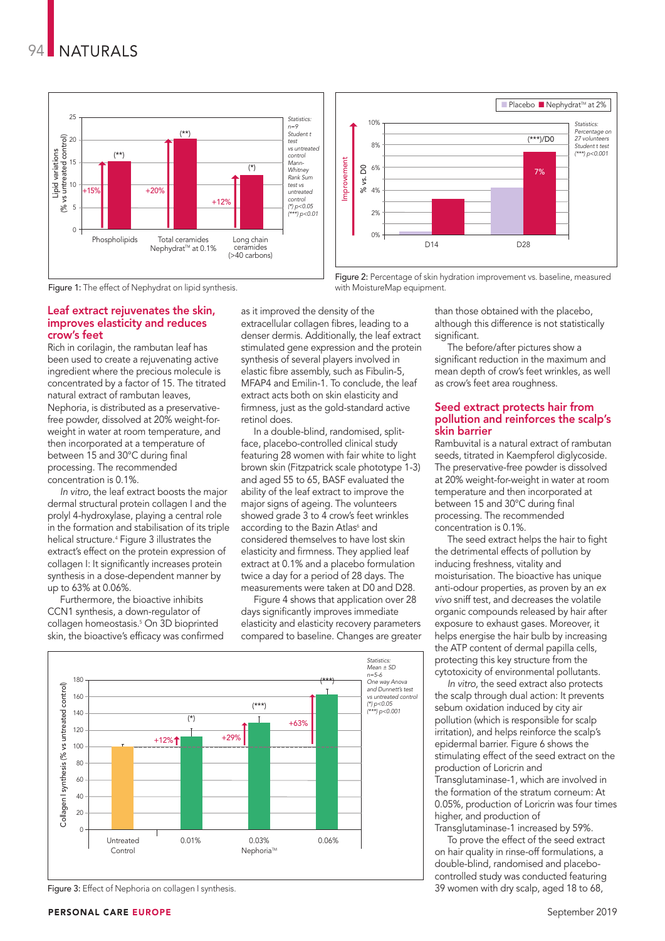



Figure 2: Percentage of skin hydration improvement vs. baseline, measured

Figure 1: The effect of Nephydrat on lipid synthesis.

### Leaf extract rejuvenates the skin, improves elasticity and reduces crow's feet

Rich in corilagin, the rambutan leaf has been used to create a rejuvenating active ingredient where the precious molecule is concentrated by a factor of 15. The titrated natural extract of rambutan leaves, Nephoria, is distributed as a preservativefree powder, dissolved at 20% weight-forweight in water at room temperature, and then incorporated at a temperature of between 15 and 30°C during final processing. The recommended concentration is 0.1%.

*In vitro*, the leaf extract boosts the major dermal structural protein collagen I and the prolyl 4-hydroxylase, playing a central role in the formation and stabilisation of its triple helical structure. <sup>4</sup> Figure 3 illustrates the extract's effect on the protein expression of collagen I: It significantly increases protein synthesis in a dose-dependent manner by up to 63% at 0.06%.

Furthermore, the bioactive inhibits CCN1 synthesis, a down-regulator of collagen homeostasis. <sup>5</sup> On 3D bioprinted skin, the bioactive's efficacy was confirmed

as it improved the density of the extracellular collagen fibres, leading to a denser dermis. Additionally, the leaf extract stimulated gene expression and the protein synthesis of several players involved in elastic fibre assembly, such as Fibulin-5, MFAP4 and Emilin-1. To conclude, the leaf extract acts both on skin elasticity and firmness, just as the gold-standard active retinol does.

with MoistureMap equipment.

In a double-blind, randomised, splitface, placebo-controlled clinical study featuring 28 women with fair white to light brown skin (Fitzpatrick scale phototype 1-3) and aged 55 to 65, BASF evaluated the ability of the leaf extract to improve the major signs of ageing. The volunteers showed grade 3 to 4 crow's feet wrinkles according to the Bazin Atlas<sup>6</sup> and considered themselves to have lost skin elasticity and firmness. They applied leaf extract at 0.1% and a placebo formulation twice a day for a period of 28 days. The measurements were taken at D0 and D28.

Figure 4 shows that application over 28 days significantly improves immediate elasticity and elasticity recovery parameters compared to baseline. Changes are greater



Figure 3: Effect of Nephoria on collagen I synthesis.

than those obtained with the placebo, although this difference is not statistically significant.

The before/after pictures show a significant reduction in the maximum and mean depth of crow's feet wrinkles, as well as crow's feet area roughness.

### Seed extract protects hair from pollution and reinforces the scalp's skin barrier

Rambuvital is a natural extract of rambutan seeds, titrated in Kaempferol diglycoside. The preservative-free powder is dissolved at 20% weight-for-weight in water at room temperature and then incorporated at between 15 and 30°C during final processing. The recommended concentration is 0.1%.

The seed extract helps the hair to fight the detrimental effects of pollution by inducing freshness, vitality and moisturisation. The bioactive has unique anti-odour properties, as proven by an *ex vivo* sniff test, and decreases the volatile organic compounds released by hair after exposure to exhaust gases. Moreover, it helps energise the hair bulb by increasing the ATP content of dermal papilla cells, protecting this key structure from the cytotoxicity of environmental pollutants.

*In vitro*, the seed extract also protects the scalp through dual action: It prevents sebum oxidation induced by city air pollution (which is responsible for scalp irritation), and helps reinforce the scalp's epidermal barrier. Figure 6 shows the stimulating effect of the seed extract on the production of Loricrin and Transglutaminase-1, which are involved in the formation of the stratum corneum: At 0.05%, production of Loricrin was four times

higher, and production of Transglutaminase-1 increased by 59%.

To prove the effect of the seed extract on hair quality in rinse-off formulations, a double-blind, randomised and placebocontrolled study was conducted featuring 39 women with dry scalp, aged 18 to 68,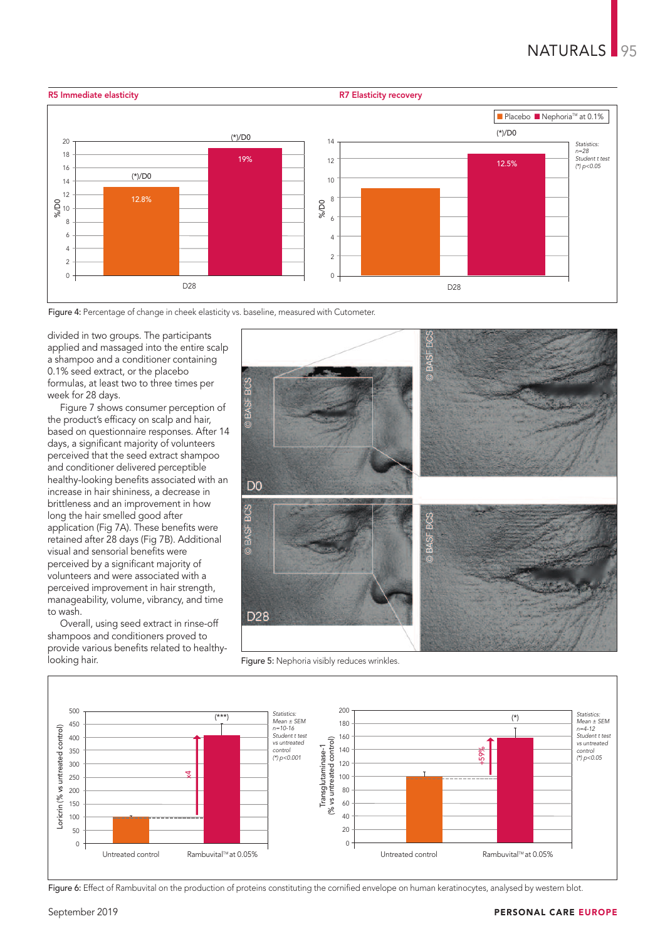

Figure 4: Percentage of change in cheek elasticity vs. baseline, measured with Cutometer.

divided in two groups. The participants applied and massaged into the entire scalp a shampoo and a conditioner containing 0.1% seed extract, or the placebo formulas, at least two to three times per week for 28 days.

Figure 7 shows consumer perception of the product's efficacy on scalp and hair, based on questionnaire responses. After 14 days, a significant majority of volunteers perceived that the seed extract shampoo and conditioner delivered perceptible healthy-looking benefits associated with an increase in hair shininess, a decrease in brittleness and an improvement in how long the hair smelled good after application (Fig 7A). These benefits were retained after 28 days (Fig 7B). Additional visual and sensorial benefits were perceived by a significant majority of volunteers and were associated with a perceived improvement in hair strength, manageability, volume, vibrancy, and time to wash.

Overall, using seed extract in rinse-off shampoos and conditioners proved to provide various benefits related to healthylooking hair.



Figure 5: Nephoria visibly reduces wrinkles.



Figure 6: Effect of Rambuvital on the production of proteins constituting the cornified envelope on human keratinocytes, analysed by western blot.